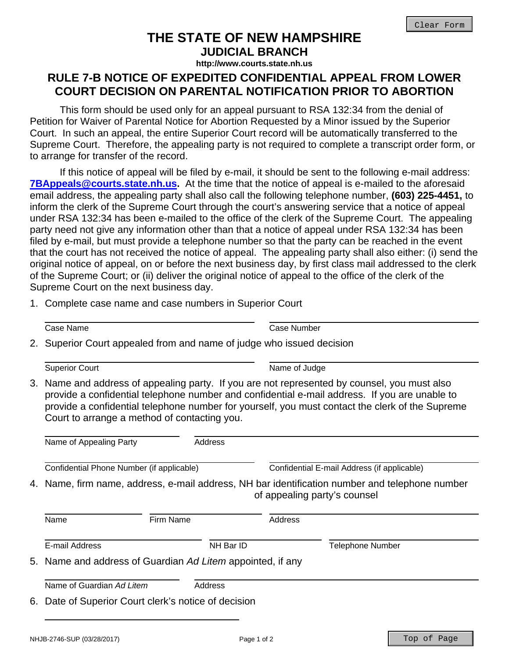## **THE STATE OF NEW HAMPSHIRE**

**JUDICIAL BRANCH http://www.courts.state.nh.us**

## **RULE 7-B NOTICE OF EXPEDITED CONFIDENTIAL APPEAL FROM LOWER COURT DECISION ON PARENTAL NOTIFICATION PRIOR TO ABORTION**

 This form should be used only for an appeal pursuant to RSA 132:34 from the denial of Petition for Waiver of Parental Notice for Abortion Requested by a Minor issued by the Superior Court. In such an appeal, the entire Superior Court record will be automatically transferred to the Supreme Court. Therefore, the appealing party is not required to complete a transcript order form, or to arrange for transfer of the record.

 If this notice of appeal will be filed by e-mail, it should be sent to the following e-mail address: **7BAppeals@courts.state.nh.us.** At the time that the notice of appeal is e-mailed to the aforesaid email address, the appealing party shall also call the following telephone number, **(603) 225-4451,** to inform the clerk of the Supreme Court through the court's answering service that a notice of appeal under RSA 132:34 has been e-mailed to the office of the clerk of the Supreme Court. The appealing party need not give any information other than that a notice of appeal under RSA 132:34 has been filed by e-mail, but must provide a telephone number so that the party can be reached in the event that the court has not received the notice of appeal. The appealing party shall also either: (i) send the original notice of appeal, on or before the next business day, by first class mail addressed to the clerk of the Supreme Court; or (ii) deliver the original notice of appeal to the office of the clerk of the Supreme Court on the next business day.

1. Complete case name and case numbers in Superior Court

Case Name Case Number

2. Superior Court appealed from and name of judge who issued decision

Superior Court Name of Judge

3. Name and address of appealing party. If you are not represented by counsel, you must also provide a confidential telephone number and confidential e-mail address. If you are unable to provide a confidential telephone number for yourself, you must contact the clerk of the Supreme Court to arrange a method of contacting you.

|                                                                                                                                | Name of Appealing Party                              | Address   |                                             |                         |
|--------------------------------------------------------------------------------------------------------------------------------|------------------------------------------------------|-----------|---------------------------------------------|-------------------------|
|                                                                                                                                | Confidential Phone Number (if applicable)            |           | Confidential E-mail Address (if applicable) |                         |
| 4. Name, firm name, address, e-mail address, NH bar identification number and telephone number<br>of appealing party's counsel |                                                      |           |                                             |                         |
|                                                                                                                                | Name                                                 | Firm Name | Address                                     |                         |
|                                                                                                                                | E-mail Address                                       | NH Bar ID |                                             | <b>Telephone Number</b> |
| 5. Name and address of Guardian Ad Litem appointed, if any                                                                     |                                                      |           |                                             |                         |
|                                                                                                                                | Name of Guardian Ad Litem                            | Address   |                                             |                         |
|                                                                                                                                | 6. Date of Superior Court clerk's notice of decision |           |                                             |                         |